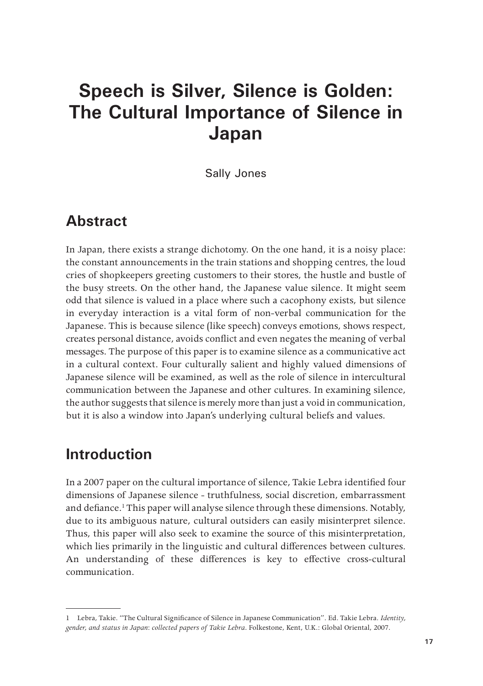# **Speech is Silver, Silence is Golden: The Cultural Importance of Silence in Japan**

Sally Jones

#### **Abstract**

In Japan, there exists a strange dichotomy. On the one hand, it is a noisy place: the constant announcements in the train stations and shopping centres, the loud cries of shopkeepers greeting customers to their stores, the hustle and bustle of the busy streets. On the other hand, the Japanese value silence. It might seem odd that silence is valued in a place where such a cacophony exists, but silence in everyday interaction is a vital form of non-verbal communication for the Japanese. This is because silence (like speech) conveys emotions, shows respect, creates personal distance, avoids conflict and even negates the meaning of verbal messages. The purpose of this paper is to examine silence as a communicative act in a cultural context. Four culturally salient and highly valued dimensions of Japanese silence will be examined, as well as the role of silence in intercultural communication between the Japanese and other cultures. In examining silence, the author suggests that silence is merely more than just a void in communication, but it is also a window into Japan's underlying cultural beliefs and values.

### **Introduction**

In a 2007 paper on the cultural importance of silence, Takie Lebra identified four dimensions of Japanese silence - truthfulness, social discretion, embarrassment and defiance.<sup>1</sup> This paper will analyse silence through these dimensions. Notably, due to its ambiguous nature, cultural outsiders can easily misinterpret silence. Thus, this paper will also seek to examine the source of this misinterpretation, which lies primarily in the linguistic and cultural differences between cultures. An understanding of these differences is key to effective cross-cultural communication.

<sup>1</sup> Lebra, Takie. "The Cultural Significance of Silence in Japanese Communication". Ed. Takie Lebra. *Identity, gender, and status in Japan*: *collected papers of Takie Lebra*. Folkestone, Kent, U.K.: Global Oriental, 2007.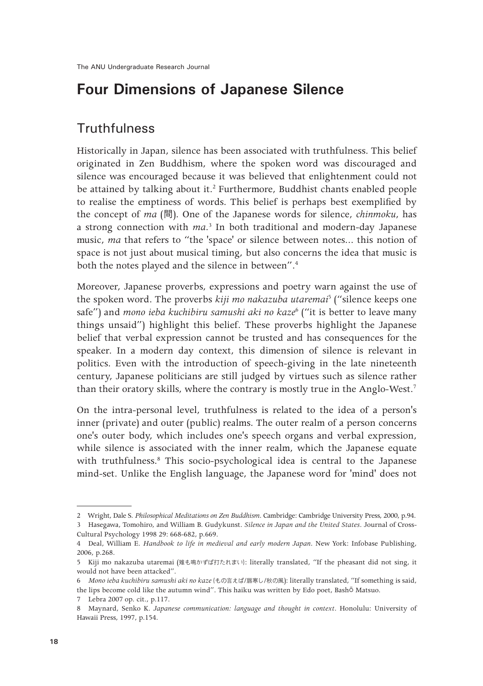# **Four Dimensions of Japanese Silence**

#### **Truthfulness**

Historically in Japan, silence has been associated with truthfulness. This belief originated in Zen Buddhism, where the spoken word was discouraged and silence was encouraged because it was believed that enlightenment could not be attained by talking about it.<sup>2</sup> Furthermore, Buddhist chants enabled people to realise the emptiness of words. This belief is perhaps best exemplified by the concept of *ma* (間). One of the Japanese words for silence, *chinmoku*, has a strong connection with *ma*. 3 In both traditional and modern-day Japanese music, *ma* that refers to "the 'space' or silence between notes... this notion of space is not just about musical timing, but also concerns the idea that music is both the notes played and the silence in between".<sup>4</sup>

Moreover, Japanese proverbs, expressions and poetry warn against the use of the spoken word. The proverbs *kiji mo nakazuba utaremai*<sup>5</sup> ("silence keeps one safe") and *mono ieba kuchibiru samushi aki no kaze*<sup>6</sup> ("it is better to leave many things unsaid") highlight this belief. These proverbs highlight the Japanese belief that verbal expression cannot be trusted and has consequences for the speaker. In a modern day context, this dimension of silence is relevant in politics. Even with the introduction of speech-giving in the late nineteenth century, Japanese politicians are still judged by virtues such as silence rather than their oratory skills, where the contrary is mostly true in the Anglo-West.<sup>7</sup>

On the intra-personal level, truthfulness is related to the idea of a person's inner (private) and outer (public) realms. The outer realm of a person concerns one's outer body, which includes one's speech organs and verbal expression, while silence is associated with the inner realm, which the Japanese equate with truthfulness.<sup>8</sup> This socio-psychological idea is central to the Japanese mind-set. Unlike the English language, the Japanese word for 'mind' does not

<sup>2</sup> Wright, Dale S. *Philosophical Meditations on Zen Buddhism*. Cambridge: Cambridge University Press, 2000, p.94.

<sup>3</sup> Hasegawa, Tomohiro, and William B. Gudykunst. *Silence in Japan and the United States*. Journal of Cross-Cultural Psychology 1998 29: 668-682, p.669.

<sup>4</sup> Deal, William E. *Handbook to life in medieval and early modern Japan*. New York: Infobase Publishing, 2006, p.268.

<sup>5</sup> Kiji mo nakazuba utaremai (雉も鳴かずば打たれまい): literally translated, "If the pheasant did not sing, it would not have been attacked".

<sup>6</sup> *Mono ieba kuchibiru samushi aki no kaze* (もの言えば/唇寒し/秋の風): literally translated, "If something is said, the lips become cold like the autumn wind". This haiku was written by Edo poet, Bashō Matsuo.

<sup>7</sup> Lebra 2007 op. cit., p.117.

<sup>8</sup> Maynard, Senko K. *Japanese communication: language and thought in context*. Honolulu: University of Hawaii Press, 1997, p.154.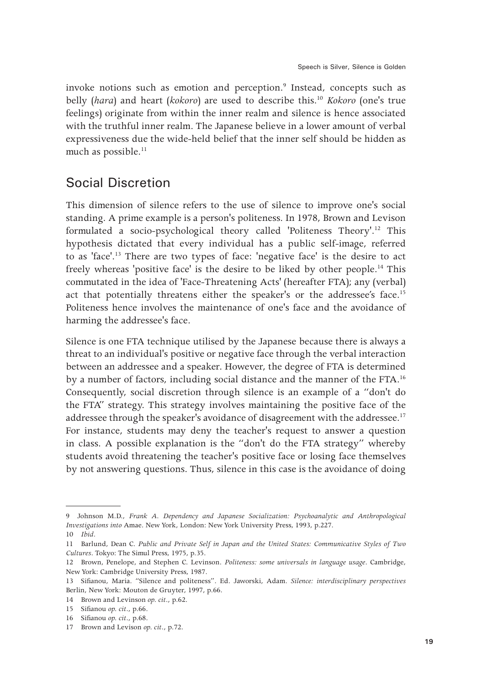invoke notions such as emotion and perception.<sup>9</sup> Instead, concepts such as belly (*hara*) and heart (*kokoro*) are used to describe this.10 *Kokoro* (one's true feelings) originate from within the inner realm and silence is hence associated with the truthful inner realm. The Japanese believe in a lower amount of verbal expressiveness due the wide-held belief that the inner self should be hidden as much as possible. $^{11}$ 

#### Social Discretion

This dimension of silence refers to the use of silence to improve one's social standing. A prime example is a person's politeness. In 1978, Brown and Levison formulated a socio-psychological theory called 'Politeness Theory'.12 This hypothesis dictated that every individual has a public self-image, referred to as 'face'.<sup>13</sup> There are two types of face: 'negative face' is the desire to act freely whereas 'positive face' is the desire to be liked by other people.<sup>14</sup> This commutated in the idea of 'Face-Threatening Acts' (hereafter FTA); any (verbal) act that potentially threatens either the speaker's or the addressee's face.15 Politeness hence involves the maintenance of one's face and the avoidance of harming the addressee's face.

Silence is one FTA technique utilised by the Japanese because there is always a threat to an individual's positive or negative face through the verbal interaction between an addressee and a speaker. However, the degree of FTA is determined by a number of factors, including social distance and the manner of the FTA.16 Consequently, social discretion through silence is an example of a "don't do the FTA" strategy. This strategy involves maintaining the positive face of the addressee through the speaker's avoidance of disagreement with the addressee.<sup>17</sup> For instance, students may deny the teacher's request to answer a question in class. A possible explanation is the "don't do the FTA strategy" whereby students avoid threatening the teacher's positive face or losing face themselves by not answering questions. Thus, silence in this case is the avoidance of doing

<sup>9</sup> Johnson M.D., *Frank A. Dependency and Japanese Socialization: Psychoanalytic and Anthropological Investigations into* Amae. New York, London: New York University Press, 1993, p.227.

<sup>10</sup> *Ibid.*

<sup>11</sup> Barlund, Dean C. *Public and Private Self in Japan and the United States: Communicative Styles of Two Cultures*. Tokyo: The Simul Press, 1975, p.35.

<sup>12</sup> Brown, Penelope, and Stephen C. Levinson. *Politeness: some universals in language usage*. Cambridge, New York: Cambridge University Press, 1987.

<sup>13</sup> Sifianou, Maria. "Silence and politeness". Ed. Jaworski, Adam. *Silence: interdisciplinary perspectives* Berlin, New York: Mouton de Gruyter, 1997, p.66.

<sup>14</sup> Brown and Levinson *op. cit*., p.62.

<sup>15</sup> Sifianou *op. cit*., p.66.

<sup>16</sup> Sifianou *op. cit*., p.68.

<sup>17</sup> Brown and Levison *op. cit*., p.72.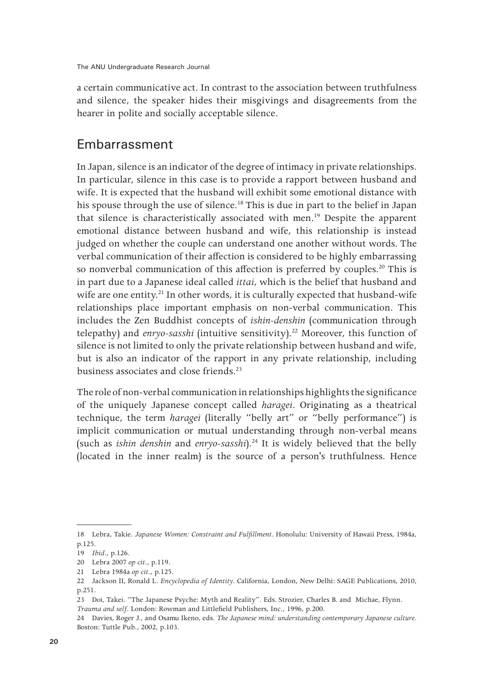a certain communicative act. In contrast to the association between truthfulness and silence, the speaker hides their misgivings and disagreements from the hearer in polite and socially acceptable silence.

#### Embarrassment

In Japan, silence is an indicator of the degree of intimacy in private relationships. In particular, silence in this case is to provide a rapport between husband and wife. It is expected that the husband will exhibit some emotional distance with his spouse through the use of silence.<sup>18</sup> This is due in part to the belief in Japan that silence is characteristically associated with men.<sup>19</sup> Despite the apparent emotional distance between husband and wife, this relationship is instead judged on whether the couple can understand one another without words. The verbal communication of their affection is considered to be highly embarrassing so nonverbal communication of this affection is preferred by couples.<sup>20</sup> This is in part due to a Japanese ideal called *ittai*, which is the belief that husband and wife are one entity.<sup>21</sup> In other words, it is culturally expected that husband-wife relationships place important emphasis on non-verbal communication. This includes the Zen Buddhist concepts of *ishin-denshin* (communication through telepathy) and *enryo-sasshi* (intuitive sensitivity).<sup>22</sup> Moreover, this function of silence is not limited to only the private relationship between husband and wife, but is also an indicator of the rapport in any private relationship, including business associates and close friends.<sup>23</sup>

The role of non-verbal communication in relationships highlights the significance of the uniquely Japanese concept called *haragei*. Originating as a theatrical technique, the term *haragei* (literally "belly art" or "belly performance") is implicit communication or mutual understanding through non-verbal means (such as *ishin denshin* and *enryo-sasshi*).24 It is widely believed that the belly (located in the inner realm) is the source of a person's truthfulness. Hence

<sup>18</sup> Lebra, Takie. *Japanese Women: Constraint and Fulfillment*. Honolulu: University of Hawaii Press, 1984a, p.125.

<sup>19</sup> *Ibid.*, p.126.

<sup>20</sup> Lebra 2007 *op cit.*, p.119.

<sup>21</sup> Lebra 1984a *op cit.*, p.125.

<sup>22</sup> Jackson II, Ronald L. *Encyclopedia of Identity*. California, London, New Delhi: SAGE Publications, 2010, p.251.

<sup>23</sup> Doi, Takei. "The Japanese Psyche: Myth and Reality". Eds. Strozier, Charles B. and Michae, Flynn. *Trauma and self*. London: Rowman and Littlefield Publishers, Inc., 1996, p.200.

<sup>24</sup> Davies, Roger J., and Osamu Ikeno, eds. *The Japanese mind: understanding contemporary Japanese culture*. Boston: Tuttle Pub., 2002, p.103.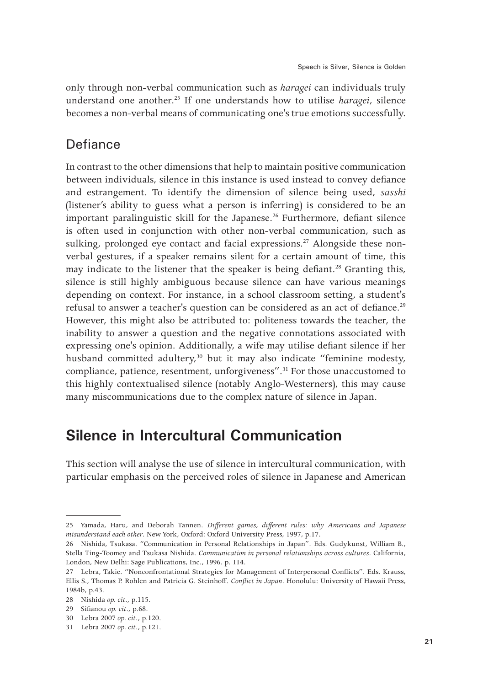only through non-verbal communication such as *haragei* can individuals truly understand one another.25 If one understands how to utilise *haragei*, silence becomes a non-verbal means of communicating one's true emotions successfully.

#### **Defiance**

In contrast to the other dimensions that help to maintain positive communication between individuals, silence in this instance is used instead to convey defiance and estrangement. To identify the dimension of silence being used, *sasshi*  (listener's ability to guess what a person is inferring) is considered to be an important paralinguistic skill for the Japanese.<sup>26</sup> Furthermore, defiant silence is often used in conjunction with other non-verbal communication, such as sulking, prolonged eye contact and facial expressions.<sup>27</sup> Alongside these nonverbal gestures, if a speaker remains silent for a certain amount of time, this may indicate to the listener that the speaker is being defiant.<sup>28</sup> Granting this, silence is still highly ambiguous because silence can have various meanings depending on context. For instance, in a school classroom setting, a student's refusal to answer a teacher's question can be considered as an act of defiance.<sup>29</sup> However, this might also be attributed to: politeness towards the teacher, the inability to answer a question and the negative connotations associated with expressing one's opinion. Additionally, a wife may utilise defiant silence if her husband committed adultery,<sup>30</sup> but it may also indicate "feminine modesty, compliance, patience, resentment, unforgiveness".<sup>31</sup> For those unaccustomed to this highly contextualised silence (notably Anglo-Westerners), this may cause many miscommunications due to the complex nature of silence in Japan.

# **Silence in Intercultural Communication**

This section will analyse the use of silence in intercultural communication, with particular emphasis on the perceived roles of silence in Japanese and American

<sup>25</sup> Yamada, Haru, and Deborah Tannen. *Different games, different rules: why Americans and Japanese misunderstand each other*. New York, Oxford: Oxford University Press, 1997, p.17.

<sup>26</sup> Nishida, Tsukasa. "Communication in Personal Relationships in Japan". Eds. Gudykunst, William B., Stella Ting-Toomey and Tsukasa Nishida. *Communication in personal relationships across cultures*. California, London, New Delhi: Sage Publications, Inc., 1996. p. 114.

<sup>27</sup> Lebra, Takie. "Nonconfrontational Strategies for Management of Interpersonal Conflicts". Eds. Krauss, Ellis S., Thomas P. Rohlen and Patricia G. Steinhoff. *Conflict in Japan*. Honolulu: University of Hawaii Press, 1984b, p.43.

<sup>28</sup> Nishida *op. cit.*, p.115.

<sup>29</sup> Sifianou *op. cit.*, p.68.

<sup>30</sup> Lebra 2007 *op. cit.*, p.120.

<sup>31</sup> Lebra 2007 *op. cit.*, p.121.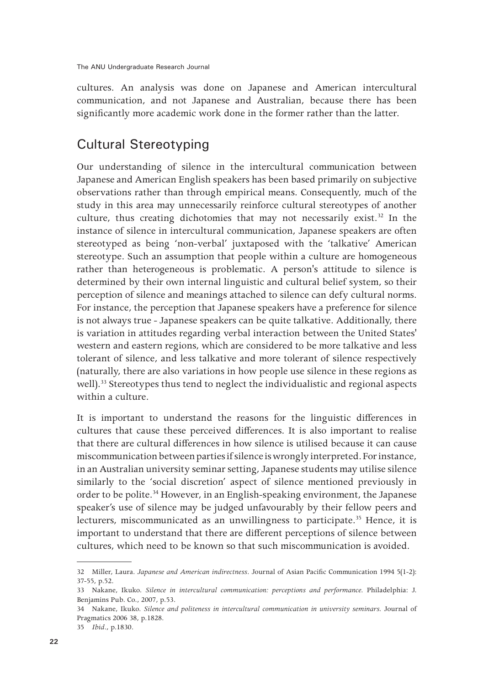cultures. An analysis was done on Japanese and American intercultural communication, and not Japanese and Australian, because there has been significantly more academic work done in the former rather than the latter.

### Cultural Stereotyping

Our understanding of silence in the intercultural communication between Japanese and American English speakers has been based primarily on subjective observations rather than through empirical means. Consequently, much of the study in this area may unnecessarily reinforce cultural stereotypes of another culture, thus creating dichotomies that may not necessarily exist.32 In the instance of silence in intercultural communication, Japanese speakers are often stereotyped as being 'non-verbal' juxtaposed with the 'talkative' American stereotype. Such an assumption that people within a culture are homogeneous rather than heterogeneous is problematic. A person's attitude to silence is determined by their own internal linguistic and cultural belief system, so their perception of silence and meanings attached to silence can defy cultural norms. For instance, the perception that Japanese speakers have a preference for silence is not always true - Japanese speakers can be quite talkative. Additionally, there is variation in attitudes regarding verbal interaction between the United States' western and eastern regions, which are considered to be more talkative and less tolerant of silence, and less talkative and more tolerant of silence respectively (naturally, there are also variations in how people use silence in these regions as well).33 Stereotypes thus tend to neglect the individualistic and regional aspects within a culture.

It is important to understand the reasons for the linguistic differences in cultures that cause these perceived differences. It is also important to realise that there are cultural differences in how silence is utilised because it can cause miscommunication between parties if silence is wrongly interpreted. For instance, in an Australian university seminar setting, Japanese students may utilise silence similarly to the 'social discretion' aspect of silence mentioned previously in order to be polite.<sup>34</sup> However, in an English-speaking environment, the Japanese speaker's use of silence may be judged unfavourably by their fellow peers and lecturers, miscommunicated as an unwillingness to participate.<sup>35</sup> Hence, it is important to understand that there are different perceptions of silence between cultures, which need to be known so that such miscommunication is avoided.

<sup>32</sup> Miller, Laura. *Japanese and American indirectness*. Journal of Asian Pacific Communication 1994 5(1-2): 37-55, p.52.

<sup>33</sup> Nakane, Ikuko. *Silence in intercultural communication: perceptions and performance.* Philadelphia: J. Benjamins Pub. Co., 2007, p.53.

<sup>34</sup> Nakane, Ikuko. *Silence and politeness in intercultural communication in university seminars.* Journal of Pragmatics 2006 38, p.1828.

<sup>35</sup> *Ibid.*, p.1830.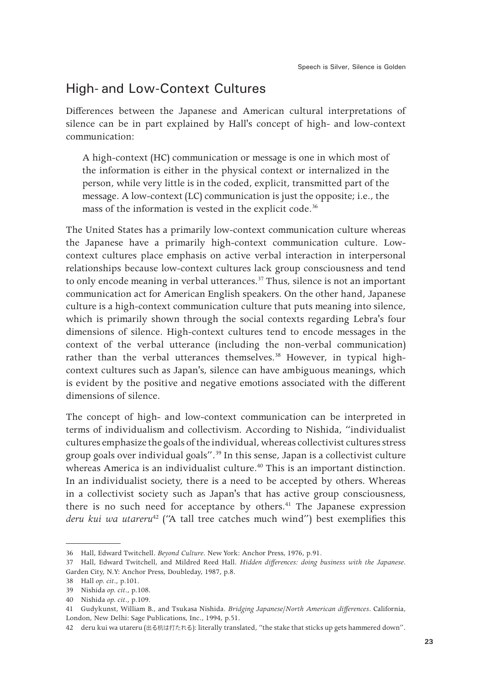#### High- and Low-Context Cultures

Differences between the Japanese and American cultural interpretations of silence can be in part explained by Hall's concept of high- and low-context communication:

A high-context (HC) communication or message is one in which most of the information is either in the physical context or internalized in the person, while very little is in the coded, explicit, transmitted part of the message. A low-context (LC) communication is just the opposite; i.e., the mass of the information is vested in the explicit code.<sup>36</sup>

The United States has a primarily low-context communication culture whereas the Japanese have a primarily high-context communication culture. Lowcontext cultures place emphasis on active verbal interaction in interpersonal relationships because low-context cultures lack group consciousness and tend to only encode meaning in verbal utterances.<sup>37</sup> Thus, silence is not an important communication act for American English speakers. On the other hand, Japanese culture is a high-context communication culture that puts meaning into silence, which is primarily shown through the social contexts regarding Lebra's four dimensions of silence. High-context cultures tend to encode messages in the context of the verbal utterance (including the non-verbal communication) rather than the verbal utterances themselves.<sup>38</sup> However, in typical highcontext cultures such as Japan's, silence can have ambiguous meanings, which is evident by the positive and negative emotions associated with the different dimensions of silence.

The concept of high- and low-context communication can be interpreted in terms of individualism and collectivism. According to Nishida, "individualist cultures emphasize the goals of the individual, whereas collectivist cultures stress group goals over individual goals".<sup>39</sup> In this sense, Japan is a collectivist culture whereas America is an individualist culture.<sup>40</sup> This is an important distinction. In an individualist society, there is a need to be accepted by others. Whereas in a collectivist society such as Japan's that has active group consciousness, there is no such need for acceptance by others.<sup>41</sup> The Japanese expression deru kui wa utareru<sup>42</sup> ("A tall tree catches much wind") best exemplifies this

<sup>36</sup> Hall, Edward Twitchell. *Beyond Culture*. New York: Anchor Press, 1976, p.91.

<sup>37</sup> Hall, Edward Twitchell, and Mildred Reed Hall. *Hidden differences: doing business with the Japanese*. Garden City, N.Y: Anchor Press, Doubleday, 1987, p.8.

<sup>38</sup> Hall *op. cit.*, p.101.

<sup>39</sup> Nishida *op. cit.*, p.108.

<sup>40</sup> Nishida *op. cit.*, p.109.

<sup>41</sup> Gudykunst, William B., and Tsukasa Nishida. *Bridging Japanese/North American differences*. California, London, New Delhi: Sage Publications, Inc., 1994, p.51.

<sup>42</sup> deru kui wa utareru (出る杭は打たれる): literally translated, "the stake that sticks up gets hammered down".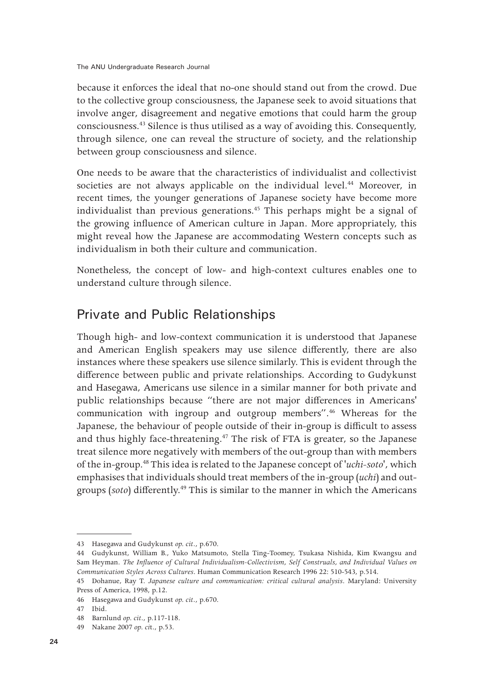because it enforces the ideal that no-one should stand out from the crowd. Due to the collective group consciousness, the Japanese seek to avoid situations that involve anger, disagreement and negative emotions that could harm the group consciousness.43 Silence is thus utilised as a way of avoiding this. Consequently, through silence, one can reveal the structure of society, and the relationship between group consciousness and silence.

One needs to be aware that the characteristics of individualist and collectivist societies are not always applicable on the individual level.<sup>44</sup> Moreover, in recent times, the younger generations of Japanese society have become more individualist than previous generations.<sup>45</sup> This perhaps might be a signal of the growing influence of American culture in Japan. More appropriately, this might reveal how the Japanese are accommodating Western concepts such as individualism in both their culture and communication.

Nonetheless, the concept of low- and high-context cultures enables one to understand culture through silence.

#### Private and Public Relationships

Though high- and low-context communication it is understood that Japanese and American English speakers may use silence differently, there are also instances where these speakers use silence similarly. This is evident through the difference between public and private relationships. According to Gudykunst and Hasegawa, Americans use silence in a similar manner for both private and public relationships because "there are not major differences in Americans' communication with ingroup and outgroup members".46 Whereas for the Japanese, the behaviour of people outside of their in-group is difficult to assess and thus highly face-threatening.47 The risk of FTA is greater, so the Japanese treat silence more negatively with members of the out-group than with members of the in-group.48 This idea is related to the Japanese concept of '*uchi-soto*', which emphasises that individuals should treat members of the in-group (*uchi*) and outgroups (*soto*) differently.49 This is similar to the manner in which the Americans

<sup>43</sup> Hasegawa and Gudykunst *op. cit.*, p.670.

<sup>44</sup> Gudykunst, William B., Yuko Matsumoto, Stella Ting-Toomey, Tsukasa Nishida, Kim Kwangsu and Sam Heyman. *The Influence of Cultural Individualism-Collectivism, Self Construals, and Individual Values on Communication Styles Across Cultures*. Human Communication Research 1996 22: 510-543, p.514.

<sup>45</sup> Dohanue, Ray T. *Japanese culture and communication: critical cultural analysis*. Maryland: University Press of America, 1998, p.12.

<sup>46</sup> Hasegawa and Gudykunst *op. cit*., p.670.

<sup>47</sup> Ibid.

<sup>48</sup> Barnlund *op. cit*., p.117-118.

<sup>49</sup> Nakane 2007 *op. ci*t., p.53.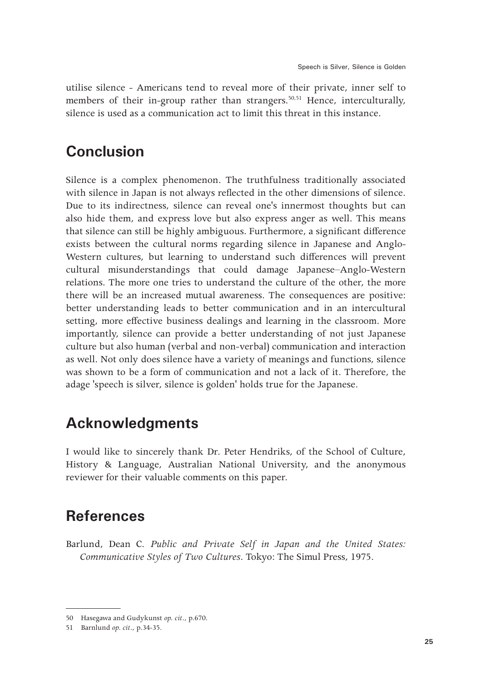utilise silence - Americans tend to reveal more of their private, inner self to members of their in-group rather than strangers.<sup>50,51</sup> Hence, interculturally, silence is used as a communication act to limit this threat in this instance.

## **Conclusion**

Silence is a complex phenomenon. The truthfulness traditionally associated with silence in Japan is not always reflected in the other dimensions of silence. Due to its indirectness, silence can reveal one's innermost thoughts but can also hide them, and express love but also express anger as well. This means that silence can still be highly ambiguous. Furthermore, a significant difference exists between the cultural norms regarding silence in Japanese and Anglo-Western cultures, but learning to understand such differences will prevent cultural misunderstandings that could damage Japanese–Anglo-Western relations. The more one tries to understand the culture of the other, the more there will be an increased mutual awareness. The consequences are positive: better understanding leads to better communication and in an intercultural setting, more effective business dealings and learning in the classroom. More importantly, silence can provide a better understanding of not just Japanese culture but also human (verbal and non-verbal) communication and interaction as well. Not only does silence have a variety of meanings and functions, silence was shown to be a form of communication and not a lack of it. Therefore, the adage 'speech is silver, silence is golden' holds true for the Japanese.

# **Acknowledgments**

I would like to sincerely thank Dr. Peter Hendriks, of the School of Culture, History & Language, Australian National University, and the anonymous reviewer for their valuable comments on this paper.

# **References**

Barlund, Dean C. *Public and Private Self in Japan and the United States: Communicative Styles of Two Cultures*. Tokyo: The Simul Press, 1975.

<sup>50</sup> Hasegawa and Gudykunst *op. cit*., p.670.

<sup>51</sup> Barnlund *op. cit*., p.34-35.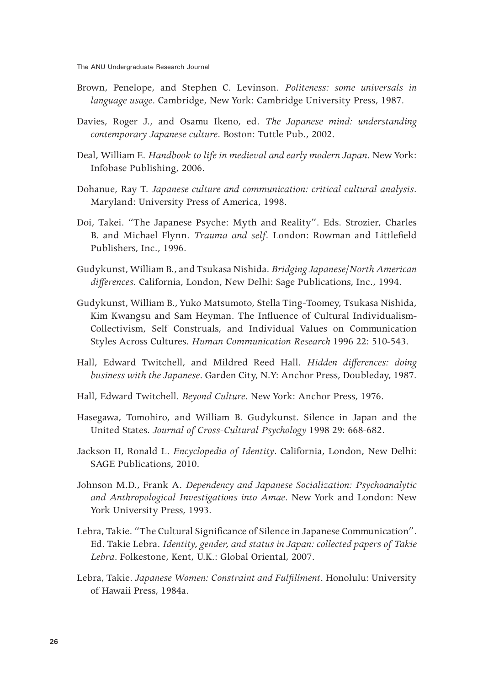- Brown, Penelope, and Stephen C. Levinson. *Politeness: some universals in language usage*. Cambridge, New York: Cambridge University Press, 1987.
- Davies, Roger J., and Osamu Ikeno, ed. *The Japanese mind: understanding contemporary Japanese culture*. Boston: Tuttle Pub., 2002.
- Deal, William E. *Handbook to life in medieval and early modern Japan*. New York: Infobase Publishing, 2006.
- Dohanue, Ray T. *Japanese culture and communication: critical cultural analysis*. Maryland: University Press of America, 1998.
- Doi, Takei. "The Japanese Psyche: Myth and Reality". Eds. Strozier, Charles B. and Michael Flynn. *Trauma and self*. London: Rowman and Littlefield Publishers, Inc., 1996.
- Gudykunst, William B., and Tsukasa Nishida. *Bridging Japanese/North American differences*. California, London, New Delhi: Sage Publications, Inc., 1994.
- Gudykunst, William B., Yuko Matsumoto, Stella Ting-Toomey, Tsukasa Nishida, Kim Kwangsu and Sam Heyman. The Influence of Cultural Individualism-Collectivism, Self Construals, and Individual Values on Communication Styles Across Cultures. *Human Communication Research* 1996 22: 510-543.
- Hall, Edward Twitchell, and Mildred Reed Hall. *Hidden differences: doing business with the Japanese*. Garden City, N.Y: Anchor Press, Doubleday, 1987.
- Hall, Edward Twitchell. *Beyond Culture*. New York: Anchor Press, 1976.
- Hasegawa, Tomohiro, and William B. Gudykunst. Silence in Japan and the United States. *Journal of Cross-Cultural Psychology* 1998 29: 668-682.
- Jackson II, Ronald L. *Encyclopedia of Identity*. California, London, New Delhi: SAGE Publications, 2010.
- Johnson M.D., Frank A. *Dependency and Japanese Socialization: Psychoanalytic and Anthropological Investigations into Amae*. New York and London: New York University Press, 1993.
- Lebra, Takie. "The Cultural Significance of Silence in Japanese Communication". Ed. Takie Lebra. *Identity, gender, and status in Japan: collected papers of Takie Lebra*. Folkestone, Kent, U.K.: Global Oriental, 2007.
- Lebra, Takie. *Japanese Women: Constraint and Fulfillment*. Honolulu: University of Hawaii Press, 1984a.